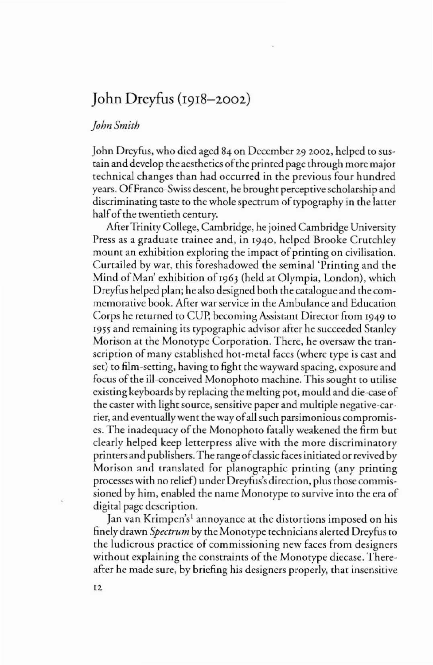## **John** Dreyfus (1918-2002)

## *]ohnSmith*

John Dreyfus, who died aged 84 on December 29 2002, helped to sustain and develop the aesthetics ofthe primed page through more major technical changes than had occurred in the previous four hundred years. OfFranco-Swiss descent, he brought perceptive scholarship and discriminating taste to the whole spectrum of typography in the latter half of the twentieth century.

After Trinity College, Cambridge, he joined Cambridge University Press as a graduate trainee and, in 1940, helped Brooke Crutchley mount an exhibition exploring the impact of printing on civilisation. Curtailed by war, this foreshadowed the seminal 'Printing and the Mind of Man' exhibition of 1963 (held at Olympia, London), which Dreyfus helped plan; he also designed both the catalogue and the commemorative book. After war service in the Ambulance and Education Corps he returned to CUp, becoming Assistant Director from 1949 to 1955 and remaining its typogtaphic advisor aftet he succeeded Stanley Morison at the Monotype Corporation. There, he oversaw the transcription of many established hot-metal faces (where type is cast and set) to film-setting, having to fight the wayward spacing, exposure and focus of the ill-conceived Monophoto machine. This sought to utilise existing keyboards by replacing the melting pot, mould and die-case of the caster with light source, sensitive paper and multiple negative-carrier, and eventually went the way ofall such parsimonious compromises. The inadequacy of the Monophoto fatally weakened the firm but clearly helped keep letterpress alive with the more discriminatory printers and publishers. The range of classic faces initiated or revived by Morison and translated for planographic printing (any printing processes with no relief) under Dreyfus's direction, plus those commissioned by him, enabled the name Monorype to survive into the era of digital page description.

Jan van Krimpen's' annoyance at the distortions imposed on his finely drawn *Spectrum* by the Monotype technicians alerted Dreyfus to the ludicrous practice of commissioning new faces from designers without explaining the constraints of the Monotype diecase. Thereafter he made sure, by briefing his designers properly, that insensitive